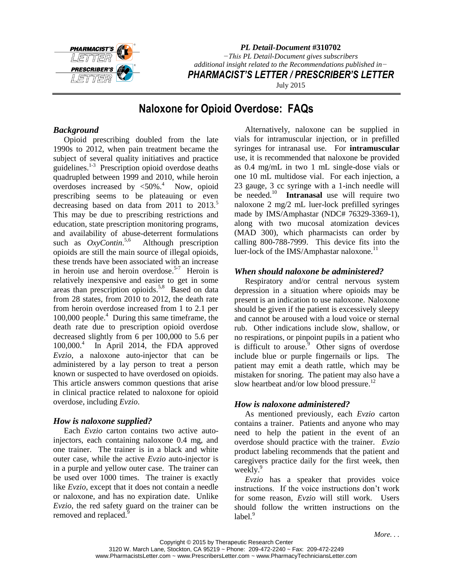

*PL Detail-Document* **#310702** *−This PL Detail-Document gives subscribers additional insight related to the Recommendations published in− PHARMACIST'S LETTER / PRESCRIBER'S LETTER* July 2015

# **Naloxone for Opioid Overdose: FAQs**

## *Background*

Opioid prescribing doubled from the late 1990s to 2012, when pain treatment became the subject of several quality initiatives and practice guidelines. 1-3 Prescription opioid overdose deaths quadrupled between 1999 and 2010, while heroin overdoses increased by  $\leq 50\%$ <sup>4</sup> Now, opioid prescribing seems to be plateauing or even decreasing based on data from  $2011$  to  $2013$ .<sup>5</sup> This may be due to prescribing restrictions and education, state prescription monitoring programs, and availability of abuse-deterrent formulations such as  $OxyContin$ <sup>5,6</sup> Although prescription opioids are still the main source of illegal opioids, these trends have been associated with an increase in heroin use and heroin overdose. 5-7 Heroin is relatively inexpensive and easier to get in some areas than prescription opioids.<sup>5,8</sup> Based on data from 28 states, from 2010 to 2012, the death rate from heroin overdose increased from 1 to 2.1 per 100,000 people.<sup>4</sup> During this same timeframe, the death rate due to prescription opioid overdose decreased slightly from 6 per 100,000 to 5.6 per  $100,000.<sup>4</sup>$  In April 2014, the FDA approved *Evzio*, a naloxone auto-injector that can be administered by a lay person to treat a person known or suspected to have overdosed on opioids. This article answers common questions that arise in clinical practice related to naloxone for opioid overdose, including *Evzio*.

## *How is naloxone supplied?*

Each *Evzio* carton contains two active autoinjectors, each containing naloxone 0.4 mg, and one trainer. The trainer is in a black and white outer case, while the active *Evzio* auto-injector is in a purple and yellow outer case. The trainer can be used over 1000 times. The trainer is exactly like *Evzio*, except that it does not contain a needle or naloxone, and has no expiration date. Unlike *Evzio*, the red safety guard on the trainer can be removed and replaced.<sup>9</sup>

Alternatively, naloxone can be supplied in vials for intramuscular injection, or in prefilled syringes for intranasal use. For **intramuscular** use, it is recommended that naloxone be provided as 0.4 mg/mL in two 1 mL single-dose vials or one 10 mL multidose vial. For each injection, a 23 gauge, 3 cc syringe with a 1-inch needle will be needed.<sup>10</sup> **Intranasal** use will require two naloxone 2 mg/2 mL luer-lock prefilled syringes made by IMS/Amphastar (NDC# 76329-3369-1), along with two mucosal atomization devices (MAD 300), which pharmacists can order by calling 800-788-7999. This device fits into the luer-lock of the IMS/Amphastar naloxone.<sup>11</sup>

## *When should naloxone be administered?*

Respiratory and/or central nervous system depression in a situation where opioids may be present is an indication to use naloxone. Naloxone should be given if the patient is excessively sleepy and cannot be aroused with a loud voice or sternal rub. Other indications include slow, shallow, or no respirations, or pinpoint pupils in a patient who is difficult to arouse. $9$  Other signs of overdose include blue or purple fingernails or lips. The patient may emit a death rattle, which may be mistaken for snoring. The patient may also have a slow heartbeat and/or low blood pressure.<sup>12</sup>

## *How is naloxone administered?*

As mentioned previously, each *Evzio* carton contains a trainer. Patients and anyone who may need to help the patient in the event of an overdose should practice with the trainer. *Evzio* product labeling recommends that the patient and caregivers practice daily for the first week, then weekly.<sup>9</sup>

*Evzio* has a speaker that provides voice instructions. If the voice instructions don't work for some reason, *Evzio* will still work. Users should follow the written instructions on the label.<sup>9</sup>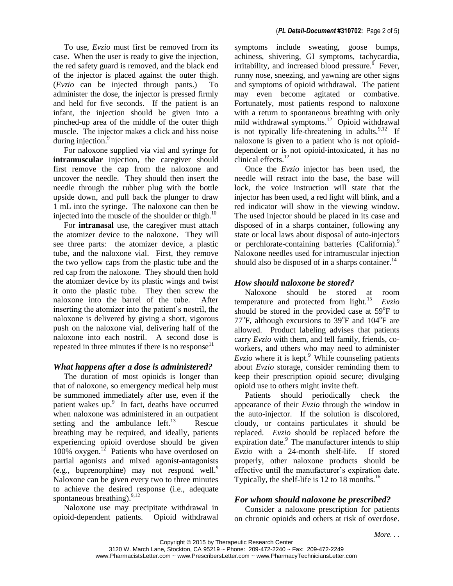To use, *Evzio* must first be removed from its case. When the user is ready to give the injection, the red safety guard is removed, and the black end of the injector is placed against the outer thigh. (*Evzio* can be injected through pants.) To administer the dose, the injector is pressed firmly and held for five seconds. If the patient is an infant, the injection should be given into a pinched-up area of the middle of the outer thigh muscle. The injector makes a click and hiss noise during injection.<sup>9</sup>

For naloxone supplied via vial and syringe for **intramuscular** injection, the caregiver should first remove the cap from the naloxone and uncover the needle. They should then insert the needle through the rubber plug with the bottle upside down, and pull back the plunger to draw 1 mL into the syringe. The naloxone can then be injected into the muscle of the shoulder or thigh. $^{10}$ 

For **intranasal** use, the caregiver must attach the atomizer device to the naloxone. They will see three parts: the atomizer device, a plastic tube, and the naloxone vial. First, they remove the two yellow caps from the plastic tube and the red cap from the naloxone. They should then hold the atomizer device by its plastic wings and twist it onto the plastic tube. They then screw the naloxone into the barrel of the tube. After inserting the atomizer into the patient's nostril, the naloxone is delivered by giving a short, vigorous push on the naloxone vial, delivering half of the naloxone into each nostril. A second dose is repeated in three minutes if there is no response $11$ 

#### *What happens after a dose is administered?*

The duration of most opioids is longer than that of naloxone, so emergency medical help must be summoned immediately after use, even if the patient wakes up.<sup>9</sup> In fact, deaths have occurred when naloxone was administered in an outpatient setting and the ambulance  $left.^{13}$  Rescue breathing may be required, and ideally, patients experiencing opioid overdose should be given  $100\%$  oxygen.<sup>12</sup> Patients who have overdosed on partial agonists and mixed agonist-antagonists (e.g., buprenorphine) may not respond well. 9 Naloxone can be given every two to three minutes to achieve the desired response (i.e., adequate spontaneous breathing). $^{9,12}$ 

Naloxone use may precipitate withdrawal in opioid-dependent patients. Opioid withdrawal symptoms include sweating, goose bumps, achiness, shivering, GI symptoms, tachycardia, irritability, and increased blood pressure. $9$  Fever, runny nose, sneezing, and yawning are other signs and symptoms of opioid withdrawal. The patient may even become agitated or combative. Fortunately, most patients respond to naloxone with a return to spontaneous breathing with only mild withdrawal symptoms.<sup>12</sup> Opioid withdrawal is not typically life-threatening in adults. $9,12$  If naloxone is given to a patient who is not opioiddependent or is not opioid-intoxicated, it has no clinical effects.<sup>12</sup>

Once the *Evzio* injector has been used, the needle will retract into the base, the base will lock, the voice instruction will state that the injector has been used, a red light will blink, and a red indicator will show in the viewing window. The used injector should be placed in its case and disposed of in a sharps container, following any state or local laws about disposal of auto-injectors or perchlorate-containing batteries (California).<sup>9</sup> Naloxone needles used for intramuscular injection should also be disposed of in a sharps container.<sup>14</sup>

### *How should* **n***aloxone be stored?*

Naloxone should be stored at room temperature and protected from light.<sup>15</sup> *Evzio* should be stored in the provided case at 59°F to  $77^{\circ}$ F, although excursions to 39 $^{\circ}$ F and 104 $^{\circ}$ F are allowed. Product labeling advises that patients carry *Evzio* with them, and tell family, friends, coworkers, and others who may need to administer *Evzio* where it is kept. $9$  While counseling patients about *Evzio* storage, consider reminding them to keep their prescription opioid secure; divulging opioid use to others might invite theft.

Patients should periodically check the appearance of their *Evzio* through the window in the auto-injector. If the solution is discolored, cloudy, or contains particulates it should be replaced. *Evzio* should be replaced before the expiration date. $\frac{9}{9}$  The manufacturer intends to ship *Evzio* with a 24-month shelf-life. If stored properly, other naloxone products should be effective until the manufacturer's expiration date. Typically, the shelf-life is 12 to 18 months.<sup>16</sup>

### *For whom should naloxone be prescribed?*

Consider a naloxone prescription for patients on chronic opioids and others at risk of overdose.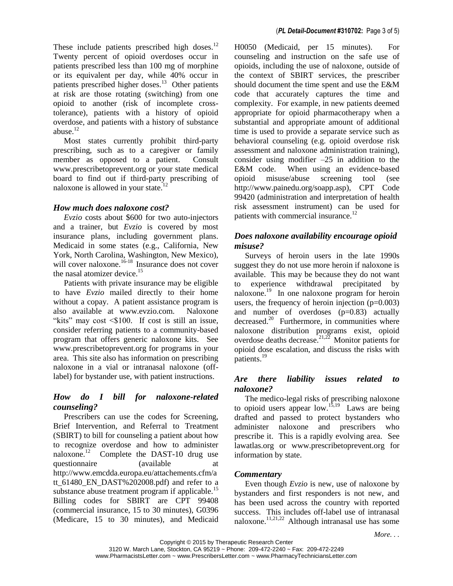These include patients prescribed high doses. $^{12}$ Twenty percent of opioid overdoses occur in patients prescribed less than 100 mg of morphine or its equivalent per day, while 40% occur in patients prescribed higher doses.<sup>13</sup> Other patients at risk are those rotating (switching) from one opioid to another (risk of incomplete crosstolerance), patients with a history of opioid overdose, and patients with a history of substance abuse.<sup>12</sup>

Most states currently prohibit third-party prescribing, such as to a caregiver or family member as opposed to a patient. Consult www.prescribetoprevent.org or your state medical board to find out if third-party prescribing of naloxone is allowed in your state.<sup>1</sup>

#### *How much does naloxone cost?*

*Evzio* costs about \$600 for two auto-injectors and a trainer, but *Evzio* is covered by most insurance plans, including government plans. Medicaid in some states (e.g., California, New York, North Carolina, Washington, New Mexico), will cover naloxone. $16-18$  Insurance does not cover the nasal atomizer device.<sup>15</sup>

Patients with private insurance may be eligible to have *Evzio* mailed directly to their home without a copay. A patient assistance program is also available at www.evzio.com. Naloxone "kits" may cost <\$100. If cost is still an issue, consider referring patients to a community-based program that offers generic naloxone kits. See www.prescribetoprevent.org for programs in your area. This site also has information on prescribing naloxone in a vial or intranasal naloxone (offlabel) for bystander use, with patient instructions.

## *How do I bill for naloxone-related counseling?*

Prescribers can use the codes for Screening, Brief Intervention, and Referral to Treatment (SBIRT) to bill for counseling a patient about how to recognize overdose and how to administer naloxone.<sup>12</sup> Complete the DAST-10 drug use questionnaire (available at http://www.emcdda.europa.eu/attachements.cfm/a tt 61480\_EN\_DAST%202008.pdf) and refer to a substance abuse treatment program if applicable.<sup>15</sup> Billing codes for SBIRT are CPT 99408 (commercial insurance, 15 to 30 minutes), G0396 (Medicare, 15 to 30 minutes), and Medicaid

H0050 (Medicaid, per 15 minutes). For counseling and instruction on the safe use of opioids, including the use of naloxone, outside of the context of SBIRT services, the prescriber should document the time spent and use the E&M code that accurately captures the time and complexity. For example, in new patients deemed appropriate for opioid pharmacotherapy when a substantial and appropriate amount of additional time is used to provide a separate service such as behavioral counseling (e.g. opioid overdose risk assessment and naloxone administration training), consider using modifier  $-25$  in addition to the E&M code. When using an evidence-based opioid misuse/abuse screening tool (see http://www.painedu.org/soapp.asp), CPT Code 99420 (administration and interpretation of health risk assessment instrument) can be used for patients with commercial insurance.<sup>12</sup>

## *Does naloxone availability encourage opioid misuse?*

Surveys of heroin users in the late 1990s suggest they do not use more heroin if naloxone is available. This may be because they do not want to experience withdrawal precipitated by naloxone.<sup>19</sup> In one naloxone program for heroin users, the frequency of heroin injection  $(p=0.003)$ and number of overdoses (p=0.83) actually decreased.<sup>20</sup> Furthermore, in communities where naloxone distribution programs exist, opioid overdose deaths decrease.<sup>21,22</sup> Monitor patients for opioid dose escalation, and discuss the risks with patients.<sup>19</sup>

### *Are there liability issues related to naloxone?*

The medico-legal risks of prescribing naloxone to opioid users appear low.<sup>15,19</sup> Laws are being drafted and passed to protect bystanders who administer naloxone and prescribers who prescribe it. This is a rapidly evolving area. See lawatlas.org or www.prescribetoprevent.org for information by state.

### *Commentary*

Even though *Evzio* is new, use of naloxone by bystanders and first responders is not new, and has been used across the country with reported success. This includes off-label use of intranasal naloxone.<sup>11,21,22</sup> Although intranasal use has some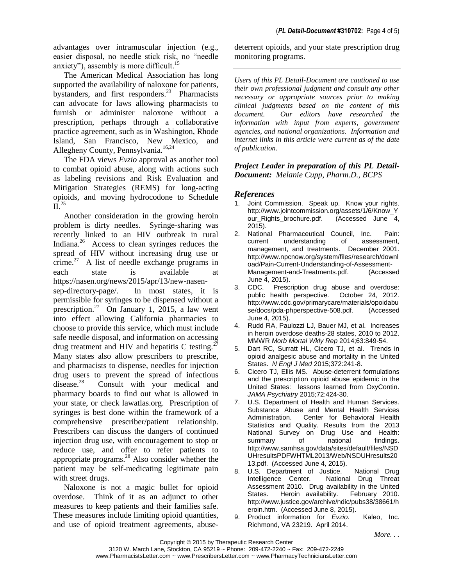advantages over intramuscular injection (e.g., easier disposal, no needle stick risk, no "needle anxiety"), assembly is more difficult.<sup>15</sup>

The American Medical Association has long supported the availability of naloxone for patients, bystanders, and first responders.<sup>23</sup> Pharmacists can advocate for laws allowing pharmacists to furnish or administer naloxone without a prescription, perhaps through a collaborative practice agreement, such as in Washington, Rhode Island, San Francisco, New Mexico, and Allegheny County, Pennsylvania.<sup>16,24</sup>

The FDA views *Evzio* approval as another tool to combat opioid abuse, along with actions such as labeling revisions and Risk Evaluation and Mitigation Strategies (REMS) for long-acting opioids, and moving hydrocodone to Schedule  $\tilde{\Pi}^{25}$ 

Another consideration in the growing heroin problem is dirty needles. Syringe-sharing was recently linked to an HIV outbreak in rural Indiana.<sup>26</sup> Access to clean syringes reduces the spread of HIV without increasing drug use or crime.<sup>27</sup> A list of needle exchange programs in each state is available at https://nasen.org/news/2015/apr/13/new-nasensep-directory-page/. In most states, it is permissible for syringes to be dispensed without a prescription.<sup>27</sup> On January 1, 2015, a law went into effect allowing California pharmacies to choose to provide this service, which must include safe needle disposal, and information on accessing drug treatment and HIV and hepatitis C testing. $27$ Many states also allow prescribers to prescribe, and pharmacists to dispense, needles for injection drug users to prevent the spread of infectious disease.<sup>28</sup> Consult with your medical and pharmacy boards to find out what is allowed in your state, or check lawatlas.org. Prescription of syringes is best done within the framework of a comprehensive prescriber/patient relationship. Prescribers can discuss the dangers of continued injection drug use, with encouragement to stop or reduce use, and offer to refer patients to appropriate programs. $^{28}$  Also consider whether the patient may be self-medicating legitimate pain with street drugs.

Naloxone is not a magic bullet for opioid overdose. Think of it as an adjunct to other measures to keep patients and their families safe. These measures include limiting opioid quantities, and use of opioid treatment agreements, abusedeterrent opioids, and your state prescription drug monitoring programs.

*Users of this PL Detail-Document are cautioned to use their own professional judgment and consult any other necessary or appropriate sources prior to making clinical judgments based on the content of this document. Our editors have researched the information with input from experts, government agencies, and national organizations. Information and internet links in this article were current as of the date of publication.*

*Project Leader in preparation of this PL Detail-Document: Melanie Cupp, Pharm.D., BCPS*

### *References*

- Joint Commission. Speak up. Know your rights. http://www.jointcommission.org/assets/1/6/Know\_Y our\_Rights\_brochure.pdf. 2015).
- 2. National Pharmaceutical Council, Inc. Pain: current understanding of assessment, management, and treatments. December 2001. http://www.npcnow.org/system/files/research/downl oad/Pain-Current-Understanding-of-Assessment-Management-and-Treatments.pdf. (Accessed June 4, 2015).
- 3. CDC. Prescription drug abuse and overdose: public health perspective. October 24, 2012. http://www.cdc.gov/primarycare/materials/opoidabu se/docs/pda-phperspective-508.pdf. (Accessed June 4, 2015).
- 4. Rudd RA, Paulozzi LJ, Bauer MJ, et al. Increases in heroin overdose deaths-28 states, 2010 to 2012. MMWR *Morb Mortal Wkly Rep* 2014;63:849-54.
- 5. Dart RC, Surratt HL, Cicero TJ, et al. Trends in opioid analgesic abuse and mortality in the United States. *N Engl J Med* 2015;372:241-8.
- 6. Cicero TJ, Ellis MS. Abuse-deterrent formulations and the prescription opioid abuse epidemic in the United States: lessons learned from OxyContin. *JAMA Psychiatry* 2015;72:424-30.
- 7. U.S. Department of Health and Human Services. Substance Abuse and Mental Health Services Administration. Center for Behavioral Health Statistics and Quality. Results from the 2013 National Survey on Drug Use and Health:<br>summary of mational findings. summary of national findings. http://www.samhsa.gov/data/sites/default/files/NSD UHresultsPDFWHTML2013/Web/NSDUHresults20 13.pdf. (Accessed June 4, 2015).
- 8. U.S. Department of Justice. National Drug Intelligence Center. National Drug Threat Assessment 2010. Drug availability in the United States. Heroin availability. February 2010. Heroin availability. February 2010. http://www.justice.gov/archive/ndic/pubs38/38661/h eroin.htm. (Accessed June 8, 2015).
- 9. Product information for *Evzio*. Kaleo, Inc. Richmond, VA 23219. April 2014.